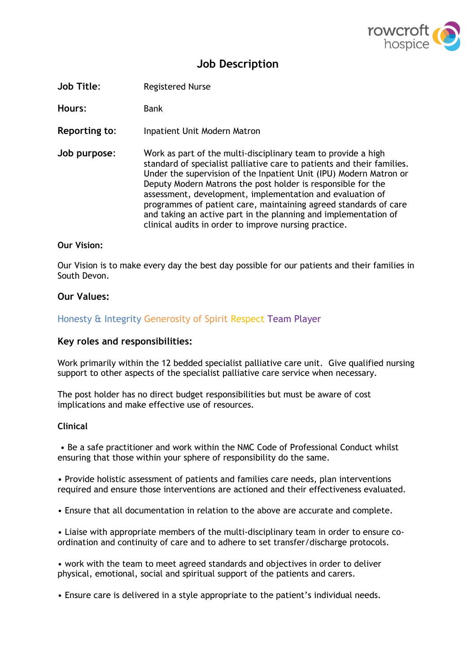

# **Job Description**

**Job Title**: Registered Nurse

**Hours**: Bank

- **Reporting to**: Inpatient Unit Modern Matron
- **Job purpose**: Work as part of the multi-disciplinary team to provide a high standard of specialist palliative care to patients and their families. Under the supervision of the Inpatient Unit (IPU) Modern Matron or Deputy Modern Matrons the post holder is responsible for the assessment, development, implementation and evaluation of programmes of patient care, maintaining agreed standards of care and taking an active part in the planning and implementation of clinical audits in order to improve nursing practice.

#### **Our Vision:**

Our Vision is to make every day the best day possible for our patients and their families in South Devon.

#### **Our Values:**

Honesty & Integrity Generosity of Spirit Respect Team Player

#### **Key roles and responsibilities:**

Work primarily within the 12 bedded specialist palliative care unit. Give qualified nursing support to other aspects of the specialist palliative care service when necessary.

The post holder has no direct budget responsibilities but must be aware of cost implications and make effective use of resources.

#### **Clinical**

• Be a safe practitioner and work within the NMC Code of Professional Conduct whilst ensuring that those within your sphere of responsibility do the same.

• Provide holistic assessment of patients and families care needs, plan interventions required and ensure those interventions are actioned and their effectiveness evaluated.

• Ensure that all documentation in relation to the above are accurate and complete.

• Liaise with appropriate members of the multi-disciplinary team in order to ensure coordination and continuity of care and to adhere to set transfer/discharge protocols.

• work with the team to meet agreed standards and objectives in order to deliver physical, emotional, social and spiritual support of the patients and carers.

• Ensure care is delivered in a style appropriate to the patient's individual needs.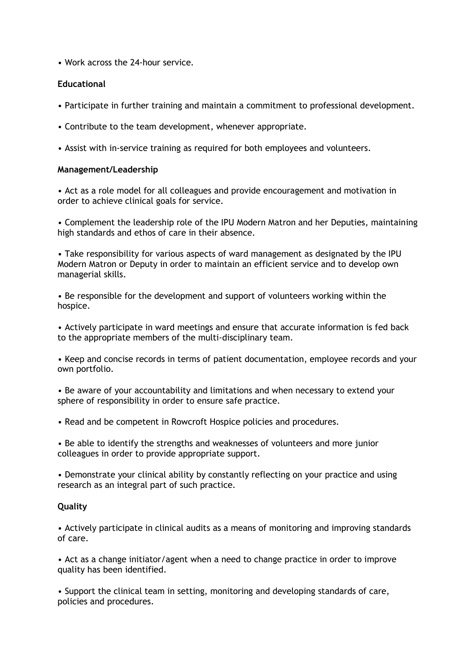• Work across the 24-hour service.

### **Educational**

- Participate in further training and maintain a commitment to professional development.
- Contribute to the team development, whenever appropriate.
- Assist with in-service training as required for both employees and volunteers.

#### **Management/Leadership**

• Act as a role model for all colleagues and provide encouragement and motivation in order to achieve clinical goals for service.

• Complement the leadership role of the IPU Modern Matron and her Deputies, maintaining high standards and ethos of care in their absence.

• Take responsibility for various aspects of ward management as designated by the IPU Modern Matron or Deputy in order to maintain an efficient service and to develop own managerial skills.

• Be responsible for the development and support of volunteers working within the hospice.

• Actively participate in ward meetings and ensure that accurate information is fed back to the appropriate members of the multi-disciplinary team.

• Keep and concise records in terms of patient documentation, employee records and your own portfolio.

• Be aware of your accountability and limitations and when necessary to extend your sphere of responsibility in order to ensure safe practice.

• Read and be competent in Rowcroft Hospice policies and procedures.

• Be able to identify the strengths and weaknesses of volunteers and more junior colleagues in order to provide appropriate support.

• Demonstrate your clinical ability by constantly reflecting on your practice and using research as an integral part of such practice.

### **Quality**

• Actively participate in clinical audits as a means of monitoring and improving standards of care.

• Act as a change initiator/agent when a need to change practice in order to improve quality has been identified.

• Support the clinical team in setting, monitoring and developing standards of care, policies and procedures.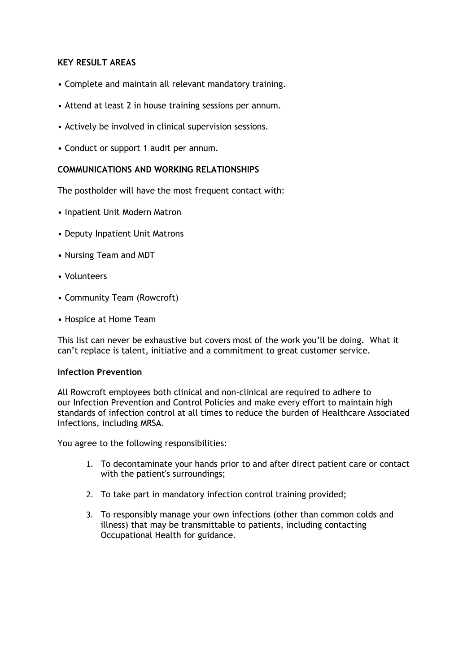### **KEY RESULT AREAS**

- Complete and maintain all relevant mandatory training.
- Attend at least 2 in house training sessions per annum.
- Actively be involved in clinical supervision sessions.
- Conduct or support 1 audit per annum.

#### **COMMUNICATIONS AND WORKING RELATIONSHIPS**

The postholder will have the most frequent contact with:

- Inpatient Unit Modern Matron
- Deputy Inpatient Unit Matrons
- Nursing Team and MDT
- Volunteers
- Community Team (Rowcroft)
- Hospice at Home Team

This list can never be exhaustive but covers most of the work you'll be doing. What it can't replace is talent, initiative and a commitment to great customer service.

#### **Infection Prevention**

All Rowcroft employees both clinical and non-clinical are required to adhere to our Infection Prevention and Control Policies and make every effort to maintain high standards of infection control at all times to reduce the burden of Healthcare Associated Infections, including MRSA.

You agree to the following responsibilities:

- 1. To decontaminate your hands prior to and after direct patient care or contact with the patient's surroundings;
- 2. To take part in mandatory infection control training provided;
- 3. To responsibly manage your own infections (other than common colds and illness) that may be transmittable to patients, including contacting Occupational Health for guidance.